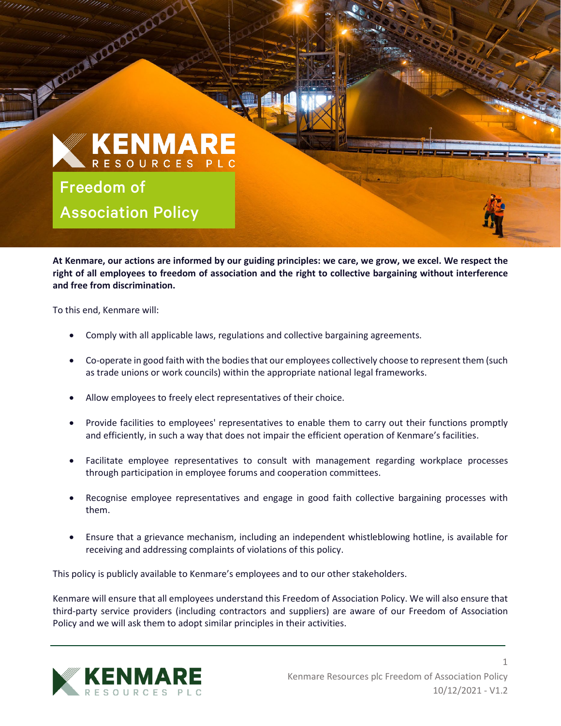## **KENMARE** RESOURCES PLC

Freedom of Association Policy

Manual Communication

**At Kenmare, our actions are informed by our guiding principles: we care, we grow, we excel. We respect the right of all employees to freedom of association and the right to collective bargaining without interference and free from discrimination.** in the control of the control of the control of the control of the control of the control of the control of the control of the control of the control of the control of the control of the control of the control of the contr

To this end, Kenmare will:

l

- Comply with all applicable laws, regulations and collective bargaining agreements.
- Co-operate in good faith with the bodies that our employees collectively choose to represent them (such as trade unions or work councils) within the appropriate national legal frameworks.
- Allow employees to freely elect representatives of their choice.
- Provide facilities to employees' representatives to enable them to carry out their functions promptly and efficiently, in such a way that does not impair the efficient operation of Kenmare's facilities.
- Facilitate employee representatives to consult with management regarding workplace processes through participation in employee forums and cooperation committees.
- Recognise employee representatives and engage in good faith collective bargaining processes with them.
- Ensure that a grievance mechanism, including an independent whistleblowing hotline, is available for receiving and addressing complaints of violations of this policy.

This policy is publicly available to Kenmare's employees and to our other stakeholders.

Kenmare will ensure that all employees understand this Freedom of Association Policy. We will also ensure that third-party service providers (including contractors and suppliers) are aware of our Freedom of Association Policy and we will ask them to adopt similar principles in their activities.



1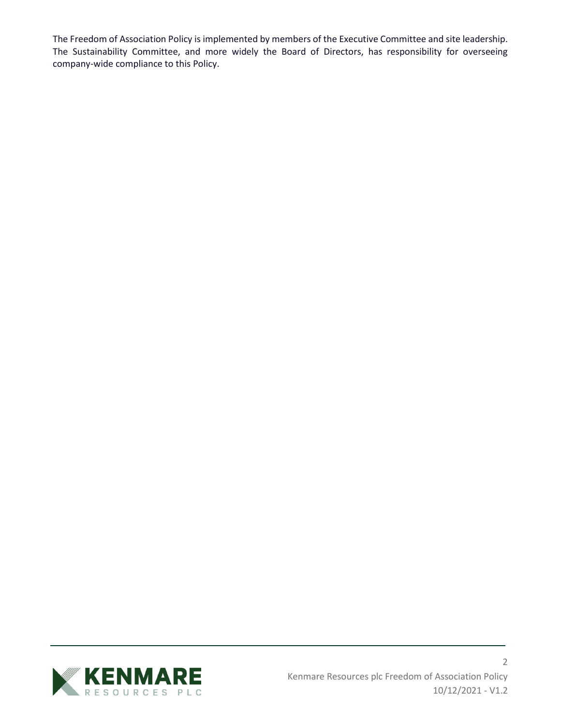The Freedom of Association Policy is implemented by members of the Executive Committee and site leadership. The Sustainability Committee, and more widely the Board of Directors, has responsibility for overseeing company-wide compliance to this Policy.

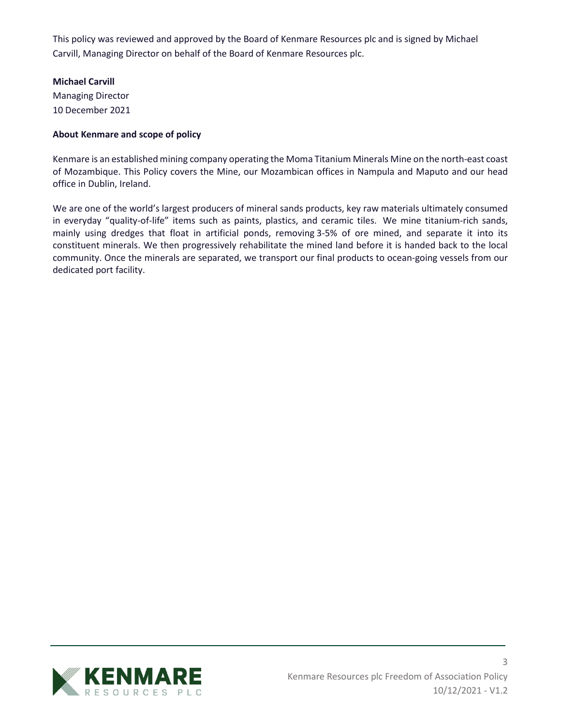This policy was reviewed and approved by the Board of Kenmare Resources plc and is signed by Michael Carvill, Managing Director on behalf of the Board of Kenmare Resources plc.

## **Michael Carvill**

Managing Director 10 December 2021

## **About Kenmare and scope of policy**

Kenmare is an established mining company operating the Moma Titanium Minerals Mine on the north-east coast of Mozambique. This Policy covers the Mine, our Mozambican offices in Nampula and Maputo and our head office in Dublin, Ireland.

We are one of the world's largest producers of mineral sands products, key raw materials ultimately consumed in everyday "quality-of-life" items such as paints, plastics, and ceramic tiles. We mine titanium-rich sands, mainly using dredges that float in artificial ponds, removing 3-5% of ore mined, and separate it into its constituent minerals. We then progressively rehabilitate the mined land before it is handed back to the local community. Once the minerals are separated, we transport our final products to ocean-going vessels from our dedicated port facility.